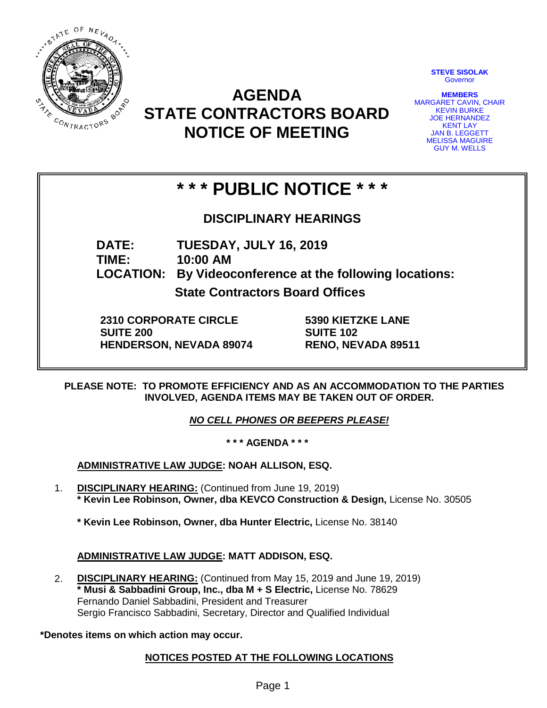

**AGENDA STATE CONTRACTORS BOARD NOTICE OF MEETING**

**STEVE SISOLAK Governor** 

**MEMBERS** MARGARET CAVIN, CHAIR KEVIN BURKE JOE HERNANDEZ KENT LAY JAN B. LEGGETT MELISSA MAGUIRE GUY M. WELLS

# **\* \* \* PUBLIC NOTICE \* \* \***

**DISCIPLINARY HEARINGS**

**DATE: TUESDAY, JULY 16, 2019 TIME: 10:00 AM LOCATION: By Videoconference at the following locations:**

**State Contractors Board Offices**

**2310 CORPORATE CIRCLE SUITE 200 HENDERSON, NEVADA 89074** **5390 KIETZKE LANE SUITE 102 RENO, NEVADA 89511**

**PLEASE NOTE: TO PROMOTE EFFICIENCY AND AS AN ACCOMMODATION TO THE PARTIES INVOLVED, AGENDA ITEMS MAY BE TAKEN OUT OF ORDER.**

*NO CELL PHONES OR BEEPERS PLEASE!* 

**\* \* \* AGENDA \* \* \***

**ADMINISTRATIVE LAW JUDGE: NOAH ALLISON, ESQ.** 

- 1. **DISCIPLINARY HEARING:** (Continued from June 19, 2019) **\* Kevin Lee Robinson, Owner, dba KEVCO Construction & Design,** License No. 30505
	- **\* Kevin Lee Robinson, Owner, dba Hunter Electric,** License No. 38140

## **ADMINISTRATIVE LAW JUDGE: MATT ADDISON, ESQ.**

2. **DISCIPLINARY HEARING:** (Continued from May 15, 2019 and June 19, 2019) **\* Musi & Sabbadini Group, Inc., dba M + S Electric,** License No. 78629 Fernando Daniel Sabbadini, President and Treasurer Sergio Francisco Sabbadini, Secretary, Director and Qualified Individual

#### **\*Denotes items on which action may occur.**

## **NOTICES POSTED AT THE FOLLOWING LOCATIONS**